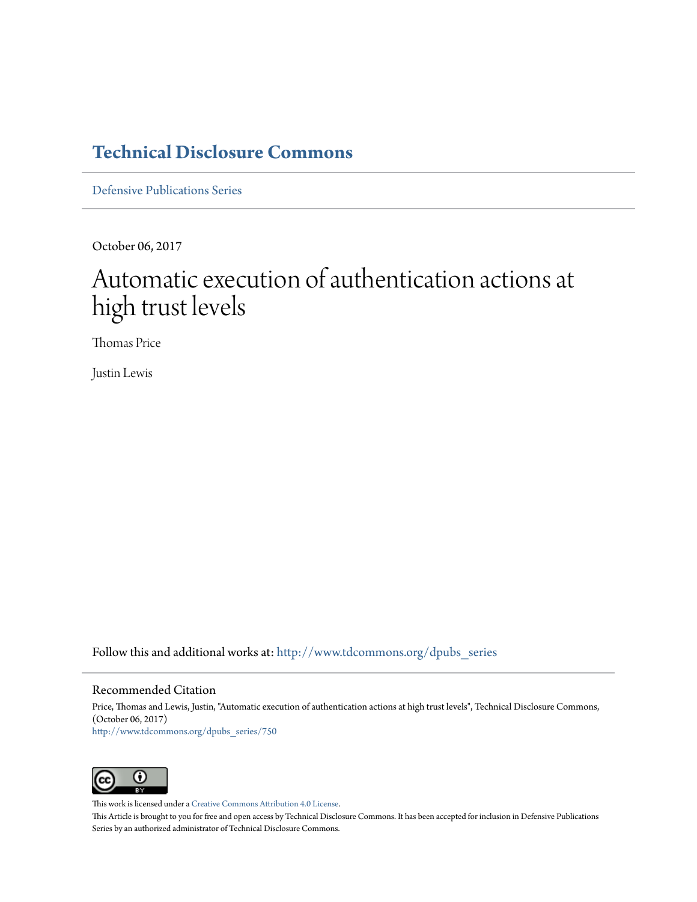# **[Technical Disclosure Commons](http://www.tdcommons.org?utm_source=www.tdcommons.org%2Fdpubs_series%2F750&utm_medium=PDF&utm_campaign=PDFCoverPages)**

[Defensive Publications Series](http://www.tdcommons.org/dpubs_series?utm_source=www.tdcommons.org%2Fdpubs_series%2F750&utm_medium=PDF&utm_campaign=PDFCoverPages)

October 06, 2017

# Automatic execution of authentication actions at high trust levels

Thomas Price

Justin Lewis

Follow this and additional works at: [http://www.tdcommons.org/dpubs\\_series](http://www.tdcommons.org/dpubs_series?utm_source=www.tdcommons.org%2Fdpubs_series%2F750&utm_medium=PDF&utm_campaign=PDFCoverPages)

#### Recommended Citation

Price, Thomas and Lewis, Justin, "Automatic execution of authentication actions at high trust levels", Technical Disclosure Commons, (October 06, 2017) [http://www.tdcommons.org/dpubs\\_series/750](http://www.tdcommons.org/dpubs_series/750?utm_source=www.tdcommons.org%2Fdpubs_series%2F750&utm_medium=PDF&utm_campaign=PDFCoverPages)



This work is licensed under a [Creative Commons Attribution 4.0 License.](http://creativecommons.org/licenses/by/4.0/deed.en_US)

This Article is brought to you for free and open access by Technical Disclosure Commons. It has been accepted for inclusion in Defensive Publications Series by an authorized administrator of Technical Disclosure Commons.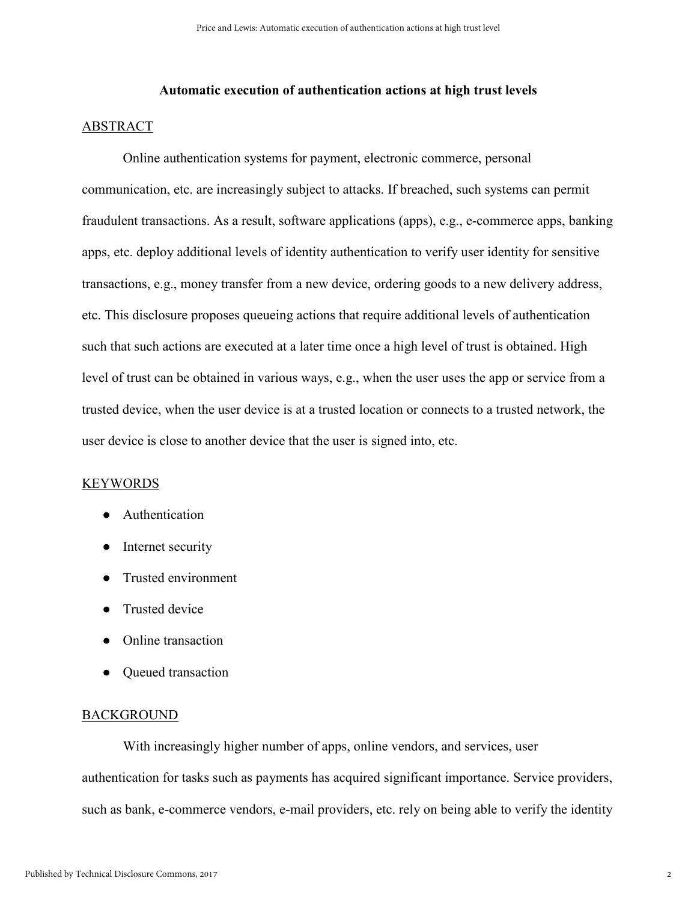#### **Automatic execution of authentication actions at high trust levels**

### ABSTRACT

Online authentication systems for payment, electronic commerce, personal communication, etc. are increasingly subject to attacks. If breached, such systems can permit fraudulent transactions. As a result, software applications (apps), e.g., e-commerce apps, banking apps, etc. deploy additional levels of identity authentication to verify user identity for sensitive transactions, e.g., money transfer from a new device, ordering goods to a new delivery address, etc. This disclosure proposes queueing actions that require additional levels of authentication such that such actions are executed at a later time once a high level of trust is obtained. High level of trust can be obtained in various ways, e.g., when the user uses the app or service from a trusted device, when the user device is at a trusted location or connects to a trusted network, the user device is close to another device that the user is signed into, etc.

## **KEYWORDS**

- Authentication
- Internet security
- Trusted environment
- Trusted device
- Online transaction
- Queued transaction

#### BACKGROUND

With increasingly higher number of apps, online vendors, and services, user authentication for tasks such as payments has acquired significant importance. Service providers, such as bank, e-commerce vendors, e-mail providers, etc. rely on being able to verify the identity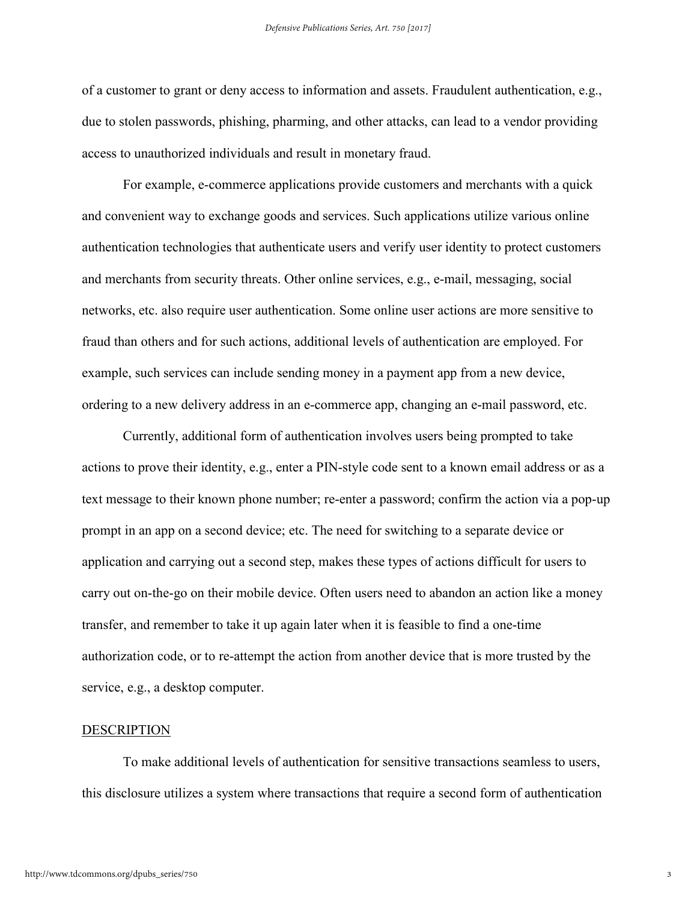of a customer to grant or deny access to information and assets. Fraudulent authentication, e.g., due to stolen passwords, phishing, pharming, and other attacks, can lead to a vendor providing access to unauthorized individuals and result in monetary fraud.

For example, e-commerce applications provide customers and merchants with a quick and convenient way to exchange goods and services. Such applications utilize various online authentication technologies that authenticate users and verify user identity to protect customers and merchants from security threats. Other online services, e.g., e-mail, messaging, social networks, etc. also require user authentication. Some online user actions are more sensitive to fraud than others and for such actions, additional levels of authentication are employed. For example, such services can include sending money in a payment app from a new device, ordering to a new delivery address in an e-commerce app, changing an e-mail password, etc.

Currently, additional form of authentication involves users being prompted to take actions to prove their identity, e.g., enter a PIN-style code sent to a known email address or as a text message to their known phone number; re-enter a password; confirm the action via a pop-up prompt in an app on a second device; etc. The need for switching to a separate device or application and carrying out a second step, makes these types of actions difficult for users to carry out on-the-go on their mobile device. Often users need to abandon an action like a money transfer, and remember to take it up again later when it is feasible to find a one-time authorization code, or to re-attempt the action from another device that is more trusted by the service, e.g., a desktop computer.

#### DESCRIPTION

To make additional levels of authentication for sensitive transactions seamless to users, this disclosure utilizes a system where transactions that require a second form of authentication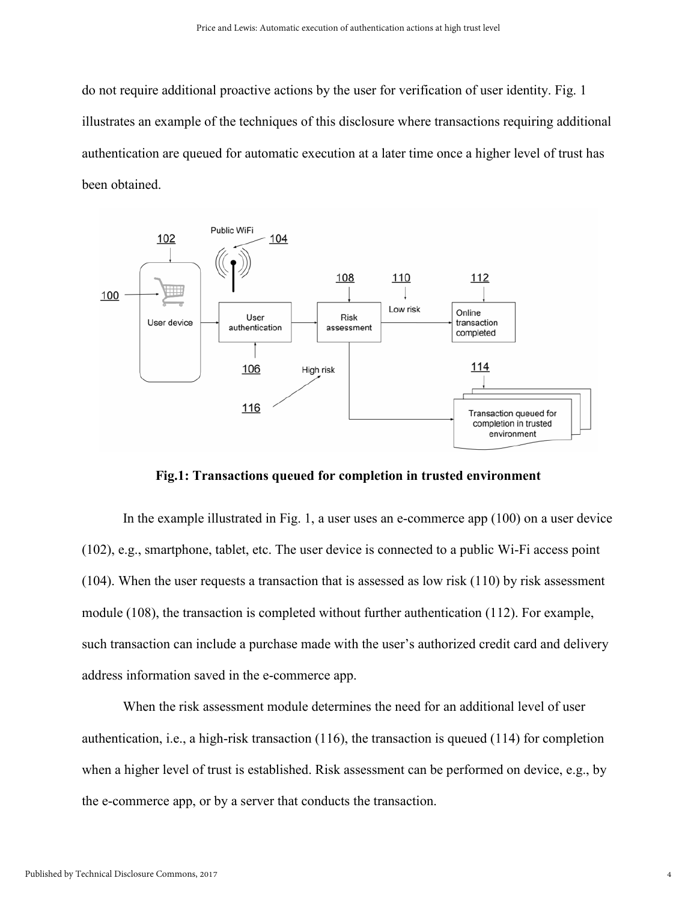do not require additional proactive actions by the user for verification of user identity. Fig. 1 illustrates an example of the techniques of this disclosure where transactions requiring additional authentication are queued for automatic execution at a later time once a higher level of trust has been obtained.



**Fig.1: Transactions queued for completion in trusted environment**

In the example illustrated in Fig. 1, a user uses an e-commerce app (100) on a user device (102), e.g., smartphone, tablet, etc. The user device is connected to a public Wi-Fi access point (104). When the user requests a transaction that is assessed as low risk (110) by risk assessment module (108), the transaction is completed without further authentication (112). For example, such transaction can include a purchase made with the user's authorized credit card and delivery address information saved in the e-commerce app.

When the risk assessment module determines the need for an additional level of user authentication, i.e., a high-risk transaction (116), the transaction is queued (114) for completion when a higher level of trust is established. Risk assessment can be performed on device, e.g., by the e-commerce app, or by a server that conducts the transaction.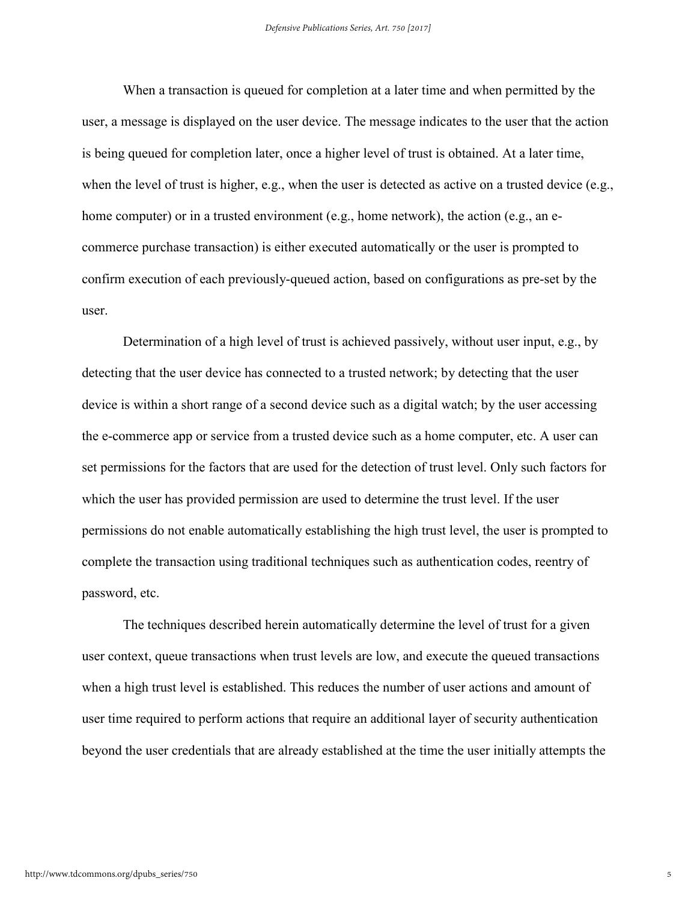When a transaction is queued for completion at a later time and when permitted by the user, a message is displayed on the user device. The message indicates to the user that the action is being queued for completion later, once a higher level of trust is obtained. At a later time, when the level of trust is higher, e.g., when the user is detected as active on a trusted device (e.g., home computer) or in a trusted environment (e.g., home network), the action (e.g., an ecommerce purchase transaction) is either executed automatically or the user is prompted to confirm execution of each previously-queued action, based on configurations as pre-set by the user.

Determination of a high level of trust is achieved passively, without user input, e.g., by detecting that the user device has connected to a trusted network; by detecting that the user device is within a short range of a second device such as a digital watch; by the user accessing the e-commerce app or service from a trusted device such as a home computer, etc. A user can set permissions for the factors that are used for the detection of trust level. Only such factors for which the user has provided permission are used to determine the trust level. If the user permissions do not enable automatically establishing the high trust level, the user is prompted to complete the transaction using traditional techniques such as authentication codes, reentry of password, etc.

The techniques described herein automatically determine the level of trust for a given user context, queue transactions when trust levels are low, and execute the queued transactions when a high trust level is established. This reduces the number of user actions and amount of user time required to perform actions that require an additional layer of security authentication beyond the user credentials that are already established at the time the user initially attempts the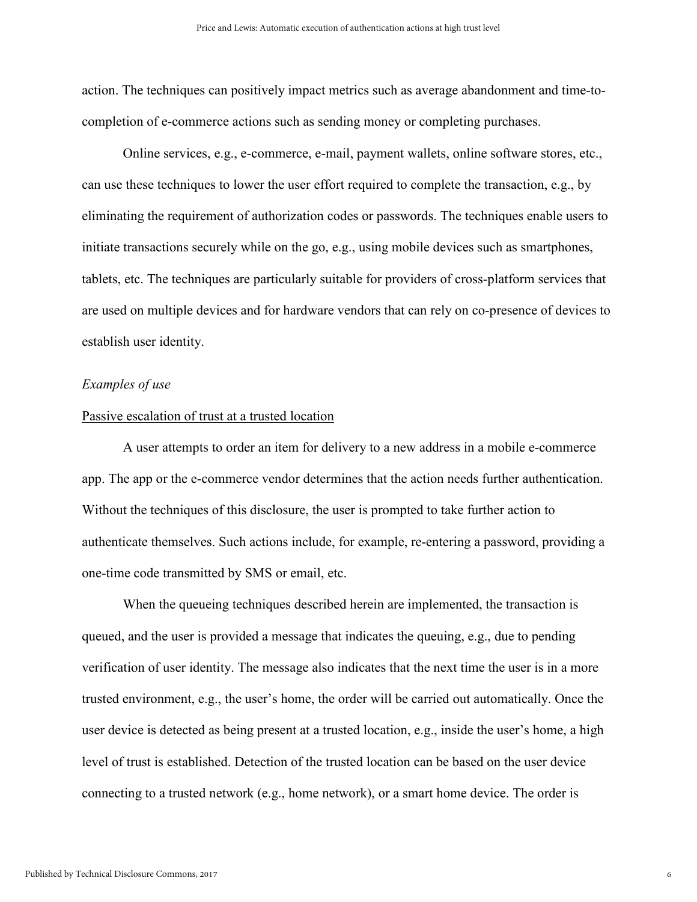action. The techniques can positively impact metrics such as average abandonment and time-tocompletion of e-commerce actions such as sending money or completing purchases.

Online services, e.g., e-commerce, e-mail, payment wallets, online software stores, etc., can use these techniques to lower the user effort required to complete the transaction, e.g., by eliminating the requirement of authorization codes or passwords. The techniques enable users to initiate transactions securely while on the go, e.g., using mobile devices such as smartphones, tablets, etc. The techniques are particularly suitable for providers of cross-platform services that are used on multiple devices and for hardware vendors that can rely on co-presence of devices to establish user identity.

#### *Examples of use*

#### Passive escalation of trust at a trusted location

A user attempts to order an item for delivery to a new address in a mobile e-commerce app. The app or the e-commerce vendor determines that the action needs further authentication. Without the techniques of this disclosure, the user is prompted to take further action to authenticate themselves. Such actions include, for example, re-entering a password, providing a one-time code transmitted by SMS or email, etc.

When the queueing techniques described herein are implemented, the transaction is queued, and the user is provided a message that indicates the queuing, e.g., due to pending verification of user identity. The message also indicates that the next time the user is in a more trusted environment, e.g., the user's home, the order will be carried out automatically. Once the user device is detected as being present at a trusted location, e.g., inside the user's home, a high level of trust is established. Detection of the trusted location can be based on the user device connecting to a trusted network (e.g., home network), or a smart home device. The order is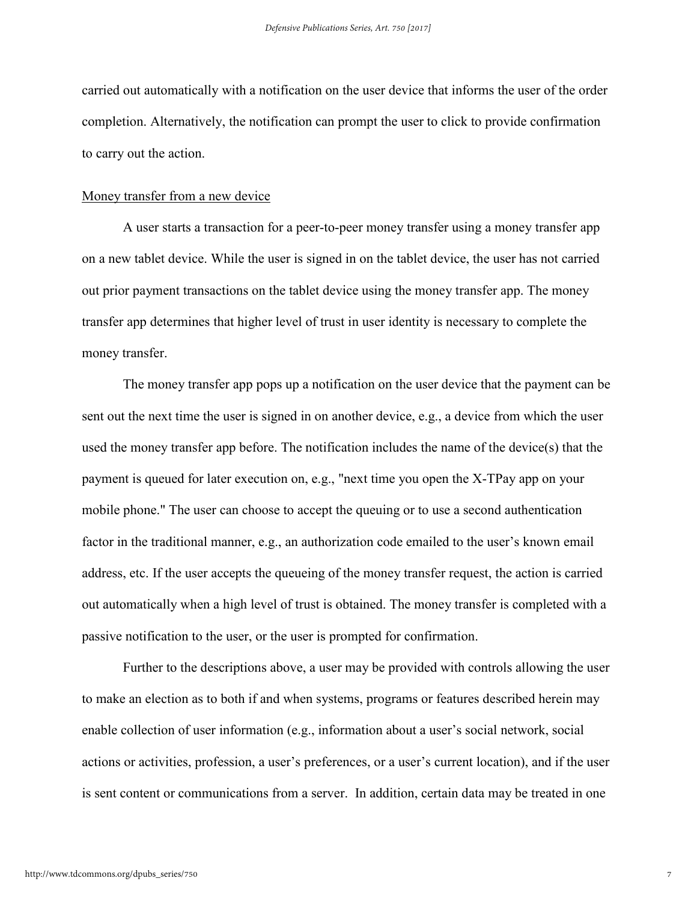carried out automatically with a notification on the user device that informs the user of the order completion. Alternatively, the notification can prompt the user to click to provide confirmation to carry out the action.

#### Money transfer from a new device

A user starts a transaction for a peer-to-peer money transfer using a money transfer app on a new tablet device. While the user is signed in on the tablet device, the user has not carried out prior payment transactions on the tablet device using the money transfer app. The money transfer app determines that higher level of trust in user identity is necessary to complete the money transfer.

The money transfer app pops up a notification on the user device that the payment can be sent out the next time the user is signed in on another device, e.g., a device from which the user used the money transfer app before. The notification includes the name of the device(s) that the payment is queued for later execution on, e.g., "next time you open the X-TPay app on your mobile phone." The user can choose to accept the queuing or to use a second authentication factor in the traditional manner, e.g., an authorization code emailed to the user's known email address, etc. If the user accepts the queueing of the money transfer request, the action is carried out automatically when a high level of trust is obtained. The money transfer is completed with a passive notification to the user, or the user is prompted for confirmation.

Further to the descriptions above, a user may be provided with controls allowing the user to make an election as to both if and when systems, programs or features described herein may enable collection of user information (e.g., information about a user's social network, social actions or activities, profession, a user's preferences, or a user's current location), and if the user is sent content or communications from a server. In addition, certain data may be treated in one